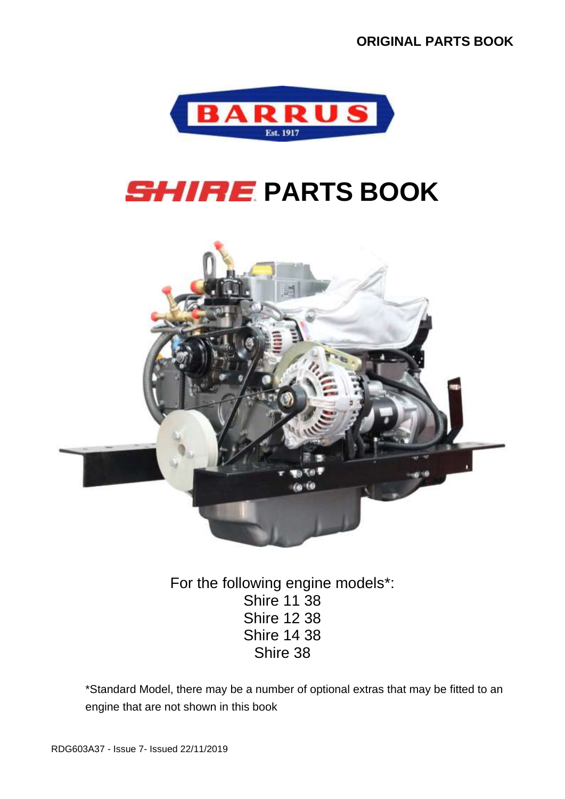

# **SHIRE PARTS BOOK**



For the following engine models\*: Shire 11 38 Shire 12 38 Shire 14 38 Shire 38

\*Standard Model, there may be a number of optional extras that may be fitted to an engine that are not shown in this book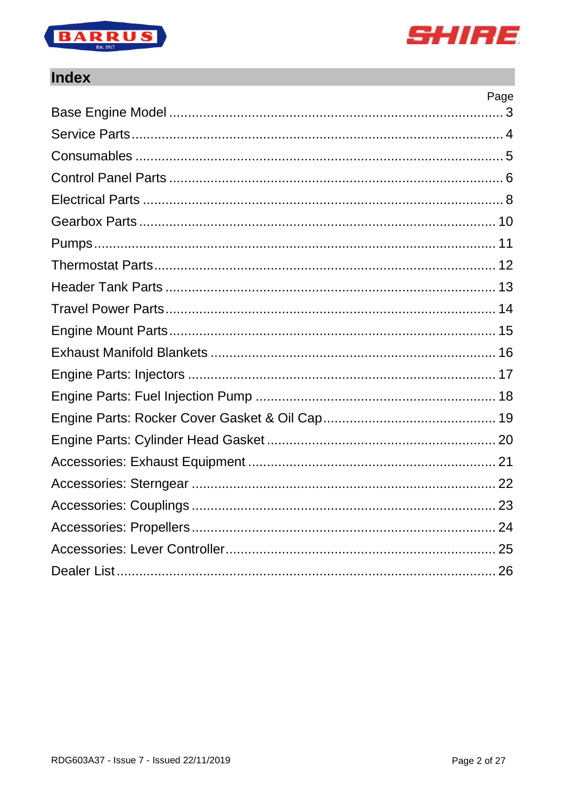



#### **Index**

| Page |
|------|
|      |
|      |
|      |
|      |
|      |
|      |
|      |
|      |
|      |
|      |
|      |
|      |
|      |
|      |
|      |
|      |
|      |
|      |
|      |
|      |
|      |
|      |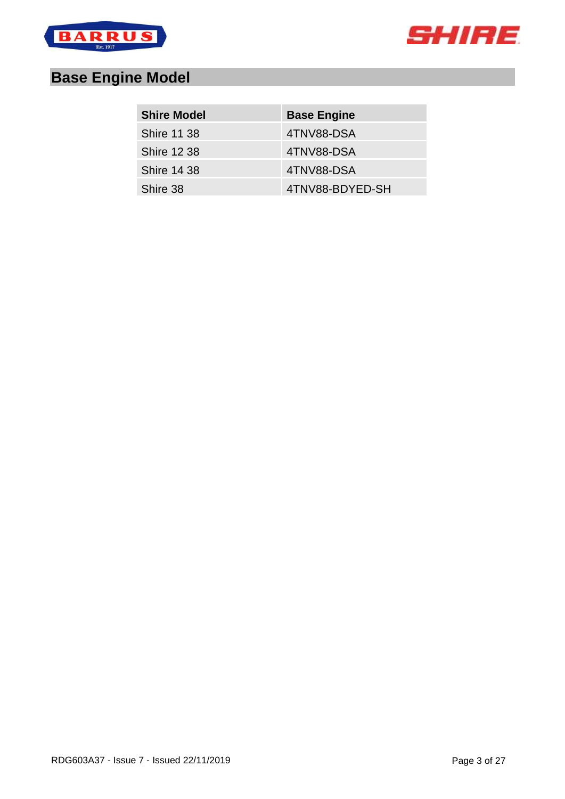



# <span id="page-2-0"></span>**Base Engine Model**

| <b>Shire Model</b> | <b>Base Engine</b> |
|--------------------|--------------------|
| <b>Shire 11 38</b> | 4TNV88-DSA         |
| <b>Shire 12 38</b> | 4TNV88-DSA         |
| <b>Shire 14 38</b> | 4TNV88-DSA         |
| Shire 38           | 4TNV88-BDYED-SH    |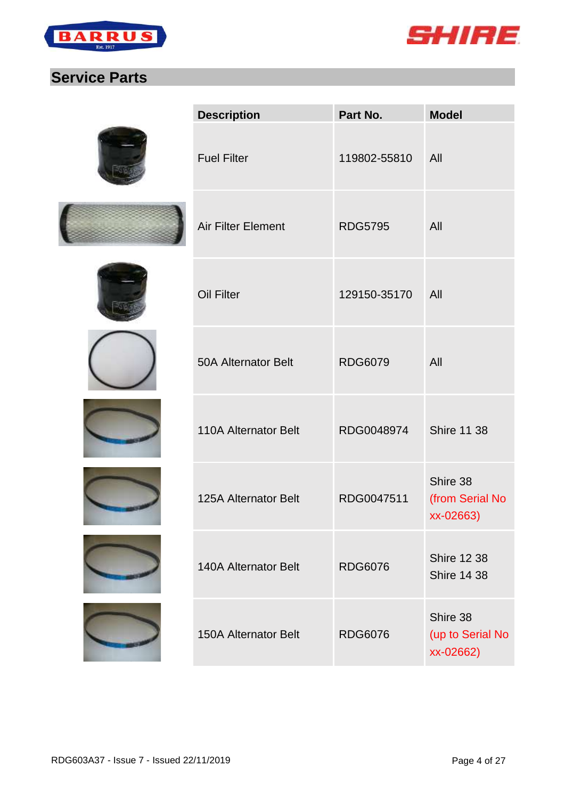



#### <span id="page-3-0"></span>**Service Parts**

| <b>Description</b>          | Part No.       | <b>Model</b>                              |
|-----------------------------|----------------|-------------------------------------------|
| <b>Fuel Filter</b>          | 119802-55810   | All                                       |
| <b>Air Filter Element</b>   | <b>RDG5795</b> | All                                       |
| <b>Oil Filter</b>           | 129150-35170   | All                                       |
| <b>50A Alternator Belt</b>  | <b>RDG6079</b> | All                                       |
| 110A Alternator Belt        | RDG0048974     | <b>Shire 11 38</b>                        |
| 125A Alternator Belt        | RDG0047511     | Shire 38<br>(from Serial No<br>xx-02663)  |
| <b>140A Alternator Belt</b> | <b>RDG6076</b> | <b>Shire 12 38</b><br><b>Shire 14 38</b>  |
| <b>150A Alternator Belt</b> | <b>RDG6076</b> | Shire 38<br>(up to Serial No<br>xx-02662) |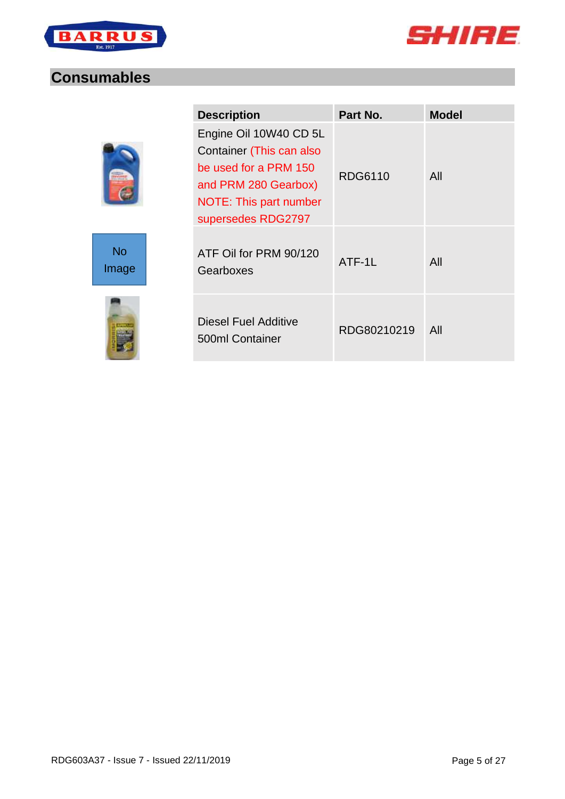



#### <span id="page-4-0"></span>**Consumables**

| ٠ |  |
|---|--|





| <b>Description</b>                                                                                                                                         | Part No.    | <b>Model</b> |
|------------------------------------------------------------------------------------------------------------------------------------------------------------|-------------|--------------|
| Engine Oil 10W40 CD 5L<br>Container (This can also<br>be used for a PRM 150<br>and PRM 280 Gearbox)<br><b>NOTE: This part number</b><br>supersedes RDG2797 | RDG6110     | All          |
| ATF Oil for PRM 90/120<br>Gearboxes                                                                                                                        | ATF-1L      | All          |
| Diesel Fuel Additive<br>500ml Container                                                                                                                    | RDG80210219 | All          |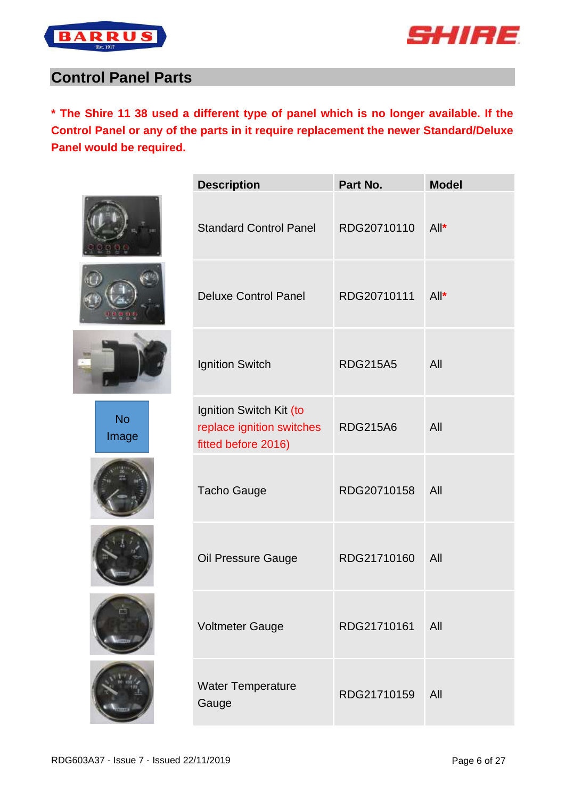



#### <span id="page-5-0"></span>**Control Panel Parts**

**\* The Shire 11 38 used a different type of panel which is no longer available. If the Control Panel or any of the parts in it require replacement the newer Standard/Deluxe Panel would be required.**

| No<br>Image |
|-------------|
|             |
|             |





| <b>Description</b>                                                          | Part No.        | <b>Model</b> |
|-----------------------------------------------------------------------------|-----------------|--------------|
| <b>Standard Control Panel</b>                                               | RDG20710110     | $All^*$      |
| <b>Deluxe Control Panel</b>                                                 | RDG20710111     | $All^*$      |
| <b>Ignition Switch</b>                                                      | <b>RDG215A5</b> | All          |
| Ignition Switch Kit (to<br>replace ignition switches<br>fitted before 2016) | <b>RDG215A6</b> | All          |
| <b>Tacho Gauge</b>                                                          | RDG20710158     | All          |
| Oil Pressure Gauge                                                          | RDG21710160     | All          |
| <b>Voltmeter Gauge</b>                                                      | RDG21710161     | All          |
| <b>Water Temperature</b><br>Gauge                                           | RDG21710159     | All          |
|                                                                             |                 |              |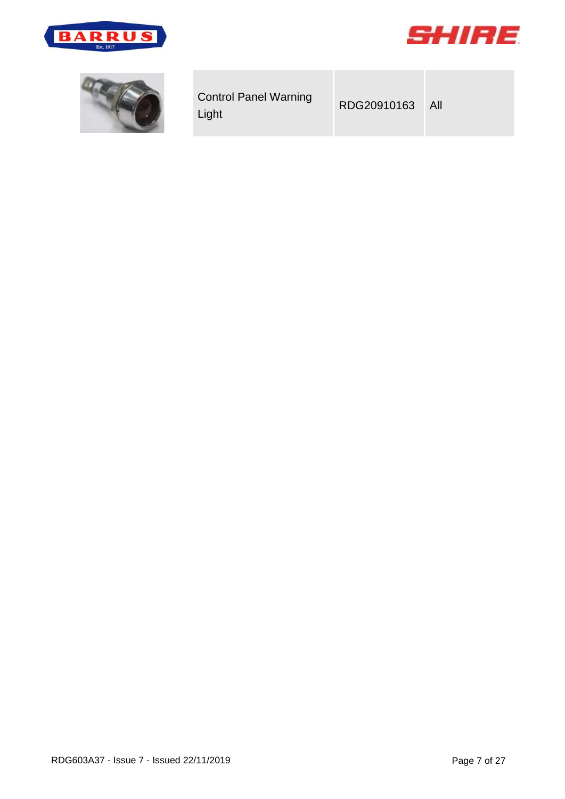



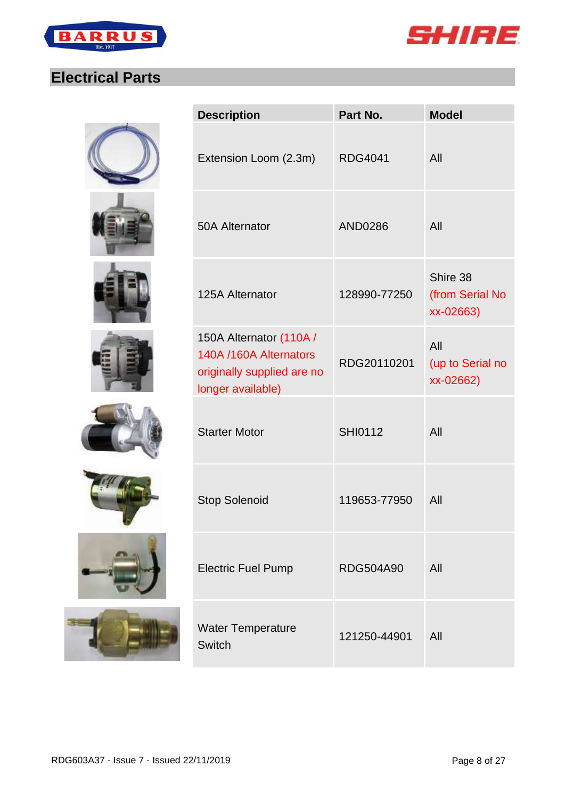



## <span id="page-7-0"></span>**Electrical Parts**

















| <b>Description</b>                                                                                   | Part No.         | <b>Model</b>                             |
|------------------------------------------------------------------------------------------------------|------------------|------------------------------------------|
| Extension Loom (2.3m)                                                                                | <b>RDG4041</b>   | All                                      |
| 50A Alternator                                                                                       | <b>AND0286</b>   | All                                      |
| 125A Alternator                                                                                      | 128990-77250     | Shire 38<br>(from Serial No<br>xx-02663) |
| 150A Alternator (110A /<br>140A /160A Alternators<br>originally supplied are no<br>longer available) | RDG20110201      | All<br>(up to Serial no<br>xx-02662)     |
| <b>Starter Motor</b>                                                                                 | <b>SHI0112</b>   | All                                      |
| <b>Stop Solenoid</b>                                                                                 | 119653-77950     | All                                      |
| <b>Electric Fuel Pump</b>                                                                            | <b>RDG504A90</b> | All                                      |
| Water Temperature<br><b>Switch</b>                                                                   | 121250-44901     | All                                      |
|                                                                                                      |                  |                                          |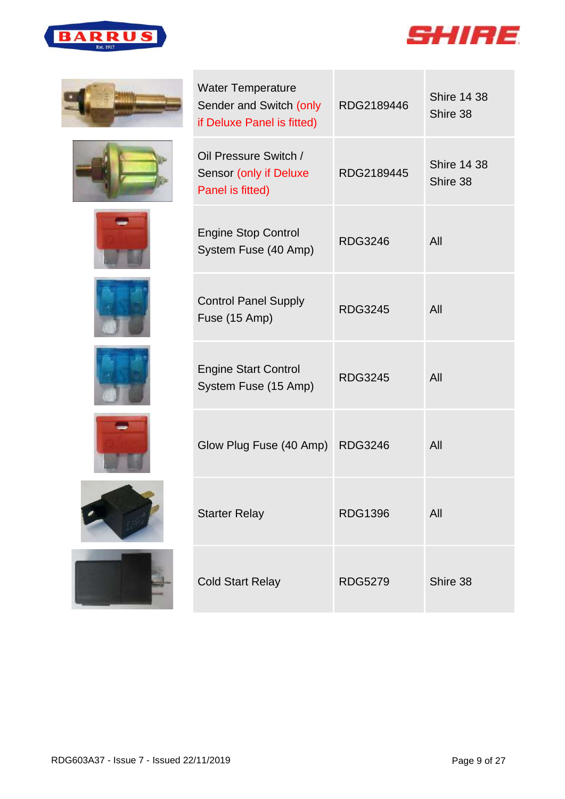



















| <b>Water Temperature</b><br>Sender and Switch (only<br>if Deluxe Panel is fitted) | RDG2189446     | <b>Shire 14 38</b><br>Shire 38 |
|-----------------------------------------------------------------------------------|----------------|--------------------------------|
| Oil Pressure Switch /<br>Sensor (only if Deluxe<br>Panel is fitted)               | RDG2189445     | <b>Shire 14 38</b><br>Shire 38 |
| <b>Engine Stop Control</b><br>System Fuse (40 Amp)                                | <b>RDG3246</b> | All                            |
| <b>Control Panel Supply</b><br>Fuse (15 Amp)                                      | <b>RDG3245</b> | All                            |
| <b>Engine Start Control</b><br>System Fuse (15 Amp)                               | <b>RDG3245</b> | All                            |
| Glow Plug Fuse (40 Amp) RDG3246                                                   |                | All                            |
| <b>Starter Relay</b>                                                              | <b>RDG1396</b> | All                            |
| <b>Cold Start Relay</b>                                                           | <b>RDG5279</b> | Shire 38                       |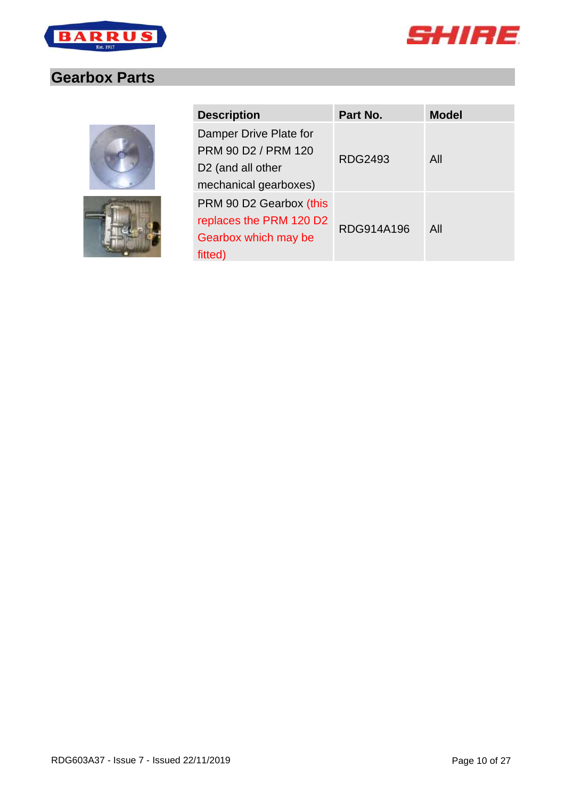



#### <span id="page-9-0"></span>**Gearbox Parts**



| <b>Description</b>            | Part No.   | <b>Model</b> |
|-------------------------------|------------|--------------|
| Damper Drive Plate for        |            |              |
| PRM 90 D2 / PRM 120           |            |              |
| D <sub>2</sub> (and all other | RDG2493    | All          |
| mechanical gearboxes)         |            |              |
| PRM 90 D2 Gearbox (this       |            |              |
| replaces the PRM 120 D2       |            |              |
| Gearbox which may be          | RDG914A196 | All          |
| fitted)                       |            |              |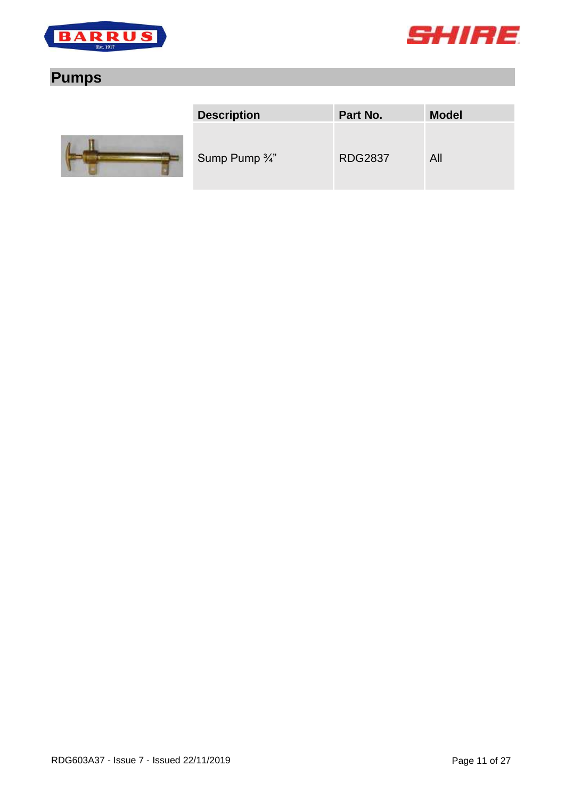



## <span id="page-10-0"></span>**Pumps**



| <b>Description</b>        | Part No.       | <b>Model</b> |
|---------------------------|----------------|--------------|
| Sump Pump $\frac{3}{4}$ " | <b>RDG2837</b> | All          |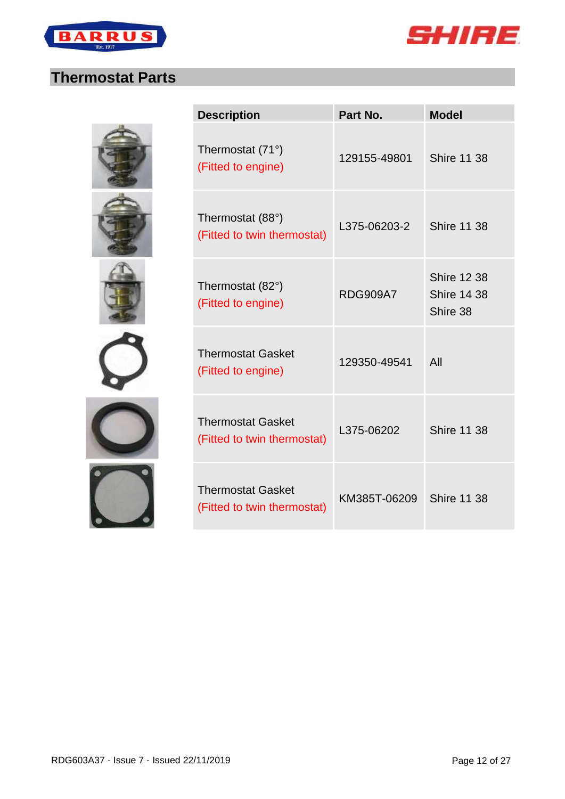



#### <span id="page-11-0"></span>**Thermostat Parts**











| <b>Description</b>                                      | Part No.        | <b>Model</b>                                         |
|---------------------------------------------------------|-----------------|------------------------------------------------------|
| Thermostat (71°)<br>(Fitted to engine)                  | 129155-49801    | <b>Shire 11 38</b>                                   |
| Thermostat (88°)<br>(Fitted to twin thermostat)         | L375-06203-2    | <b>Shire 11 38</b>                                   |
| Thermostat (82°)<br>(Fitted to engine)                  | <b>RDG909A7</b> | <b>Shire 12 38</b><br><b>Shire 14 38</b><br>Shire 38 |
| <b>Thermostat Gasket</b><br>(Fitted to engine)          | 129350-49541    | All                                                  |
| <b>Thermostat Gasket</b><br>(Fitted to twin thermostat) | L375-06202      | <b>Shire 11 38</b>                                   |
| <b>Thermostat Gasket</b><br>(Fitted to twin thermostat) | KM385T-06209    | <b>Shire 11 38</b>                                   |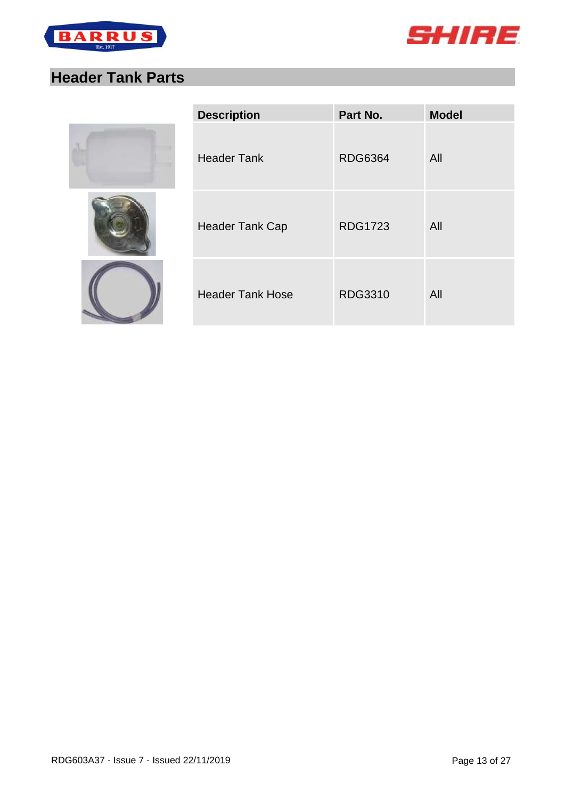



## <span id="page-12-0"></span>**Header Tank Parts**







| <b>Description</b>      | Part No.       | <b>Model</b> |
|-------------------------|----------------|--------------|
| <b>Header Tank</b>      | <b>RDG6364</b> | All          |
| <b>Header Tank Cap</b>  | <b>RDG1723</b> | All          |
| <b>Header Tank Hose</b> | <b>RDG3310</b> | All          |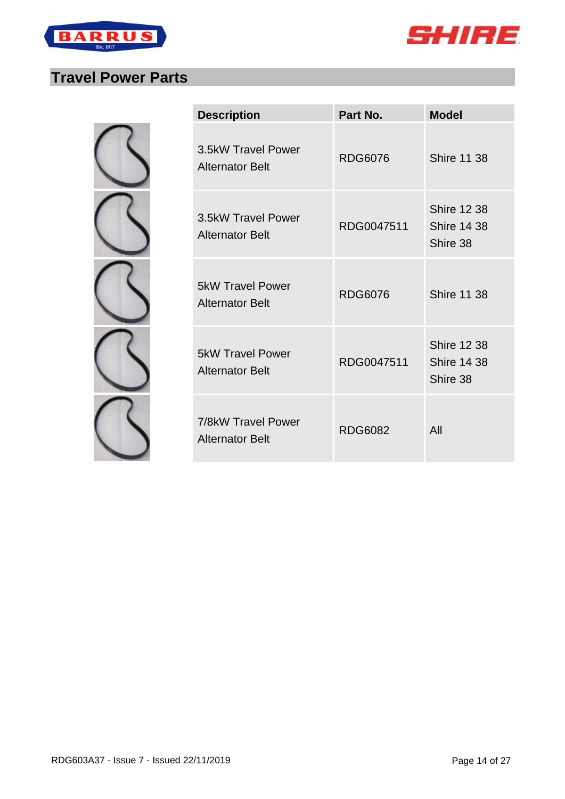



# <span id="page-13-0"></span>**Travel Power Parts**

| <b>Description</b>                                | Part No.       | <b>Model</b>                                         |
|---------------------------------------------------|----------------|------------------------------------------------------|
| 3.5kW Travel Power<br><b>Alternator Belt</b>      | <b>RDG6076</b> | <b>Shire 11 38</b>                                   |
| 3.5kW Travel Power<br><b>Alternator Belt</b>      | RDG0047511     | <b>Shire 12 38</b><br><b>Shire 14 38</b><br>Shire 38 |
| <b>5kW Travel Power</b><br><b>Alternator Belt</b> | <b>RDG6076</b> | <b>Shire 11 38</b>                                   |
| <b>5kW Travel Power</b><br><b>Alternator Belt</b> | RDG0047511     | <b>Shire 12 38</b><br><b>Shire 14 38</b><br>Shire 38 |
| 7/8kW Travel Power<br><b>Alternator Belt</b>      | <b>RDG6082</b> | All                                                  |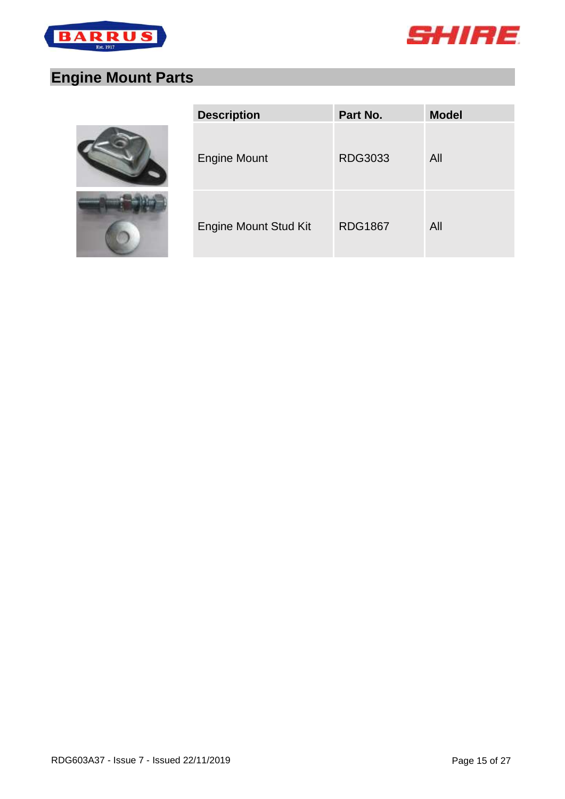



# <span id="page-14-0"></span>**Engine Mount Parts**





| <b>Description</b>           | Part No.       | <b>Model</b> |
|------------------------------|----------------|--------------|
| <b>Engine Mount</b>          | <b>RDG3033</b> | All          |
| <b>Engine Mount Stud Kit</b> | <b>RDG1867</b> | All          |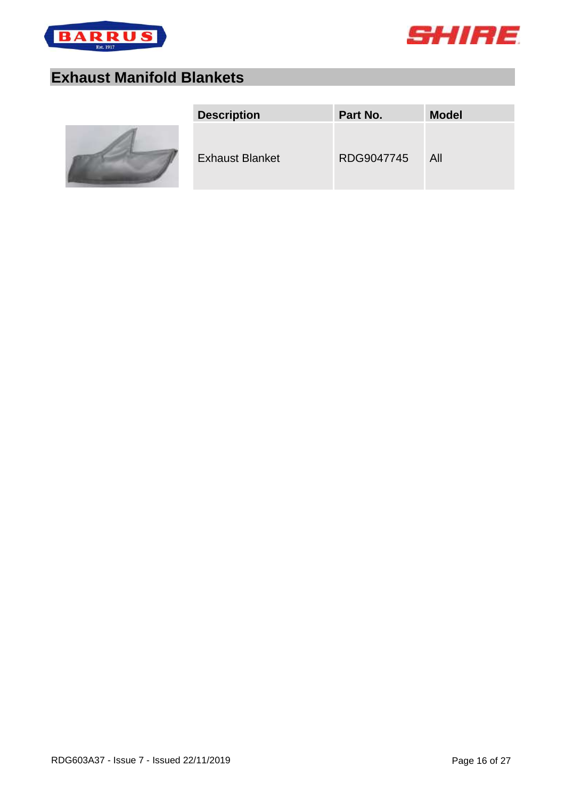



## <span id="page-15-0"></span>**Exhaust Manifold Blankets**



| <b>Description</b>     | Part No.   | <b>Model</b> |
|------------------------|------------|--------------|
| <b>Exhaust Blanket</b> | RDG9047745 | All          |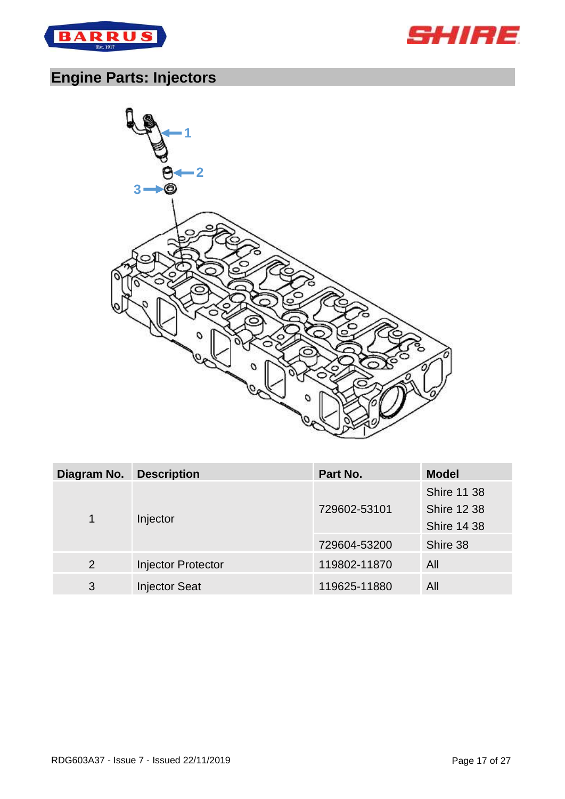



# <span id="page-16-0"></span>**Engine Parts: Injectors**



| Diagram No.   | <b>Description</b>        | Part No.                                                       | <b>Model</b> |
|---------------|---------------------------|----------------------------------------------------------------|--------------|
| Injector<br>1 | 729602-53101              | <b>Shire 11 38</b><br><b>Shire 12 38</b><br><b>Shire 14 38</b> |              |
|               | 729604-53200              | Shire 38                                                       |              |
| 2             | <b>Injector Protector</b> | 119802-11870                                                   | All          |
| 3             | <b>Injector Seat</b>      | 119625-11880                                                   | All          |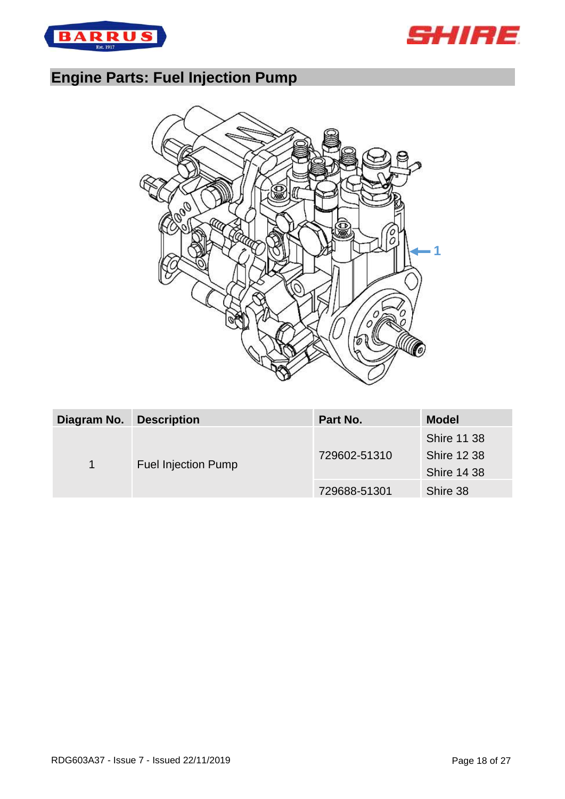



## <span id="page-17-0"></span>**Engine Parts: Fuel Injection Pump**



| Diagram No.                     | <b>Description</b> | Part No.                                                       | <b>Model</b> |
|---------------------------------|--------------------|----------------------------------------------------------------|--------------|
| <b>Fuel Injection Pump</b><br>1 | 729602-51310       | <b>Shire 11 38</b><br><b>Shire 12 38</b><br><b>Shire 14 38</b> |              |
|                                 |                    | 729688-51301                                                   | Shire 38     |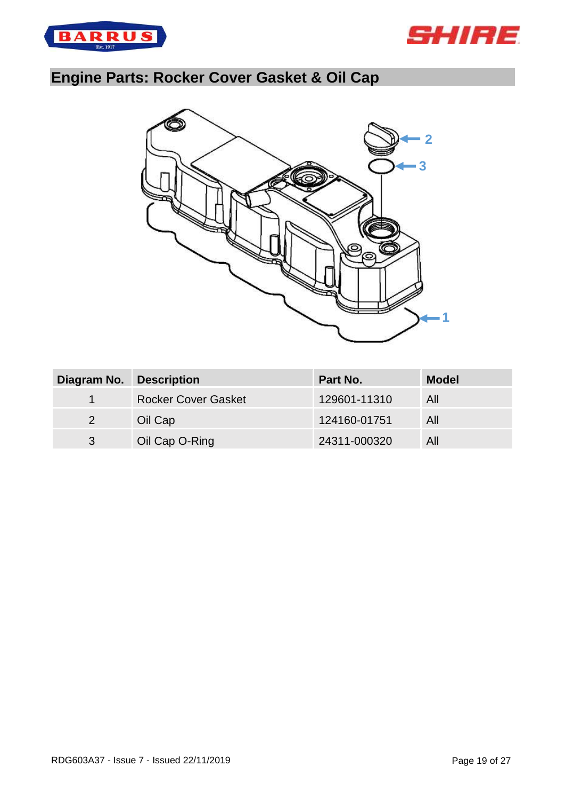



# <span id="page-18-0"></span>**Engine Parts: Rocker Cover Gasket & Oil Cap**



| Diagram No.          | <b>Description</b>         | Part No.     | <b>Model</b> |
|----------------------|----------------------------|--------------|--------------|
| $\blacktriangleleft$ | <b>Rocker Cover Gasket</b> | 129601-11310 | All          |
| 2                    | Oil Cap                    | 124160-01751 | All          |
| 3                    | Oil Cap O-Ring             | 24311-000320 | All          |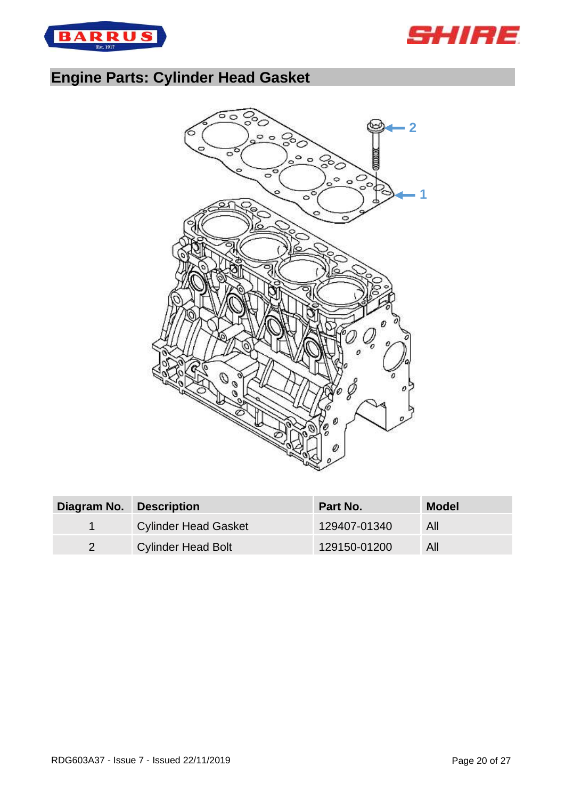



## <span id="page-19-0"></span>**Engine Parts: Cylinder Head Gasket**



| Diagram No. Description |                             | <b>Part No.</b> | <b>Model</b> |
|-------------------------|-----------------------------|-----------------|--------------|
|                         | <b>Cylinder Head Gasket</b> | 129407-01340    | All          |
|                         | <b>Cylinder Head Bolt</b>   | 129150-01200    | All          |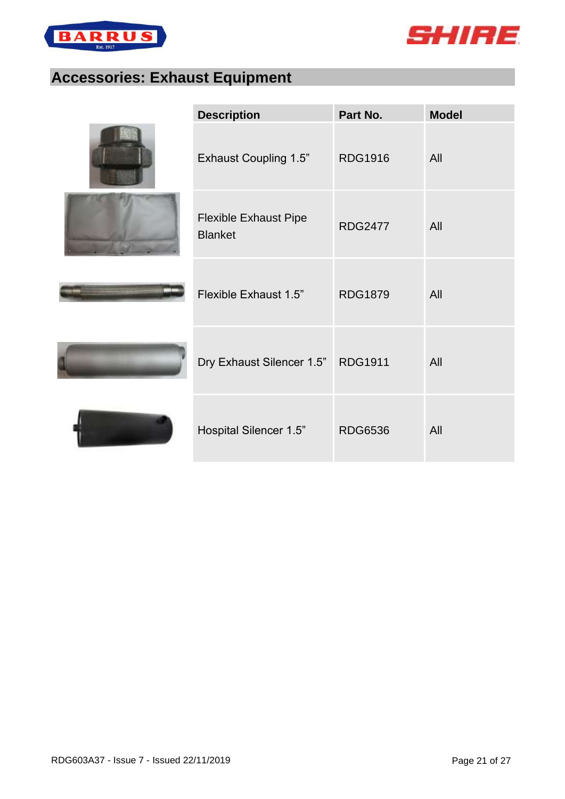



## <span id="page-20-0"></span>**Accessories: Exhaust Equipment**

| <b>Description</b>                             | Part No.       | <b>Model</b> |
|------------------------------------------------|----------------|--------------|
| <b>Exhaust Coupling 1.5"</b>                   | <b>RDG1916</b> | All          |
| <b>Flexible Exhaust Pipe</b><br><b>Blanket</b> | <b>RDG2477</b> | All          |
| Flexible Exhaust 1.5"                          | <b>RDG1879</b> | All          |
| Dry Exhaust Silencer 1.5" RDG1911              |                | All          |
| Hospital Silencer 1.5"                         | <b>RDG6536</b> | All          |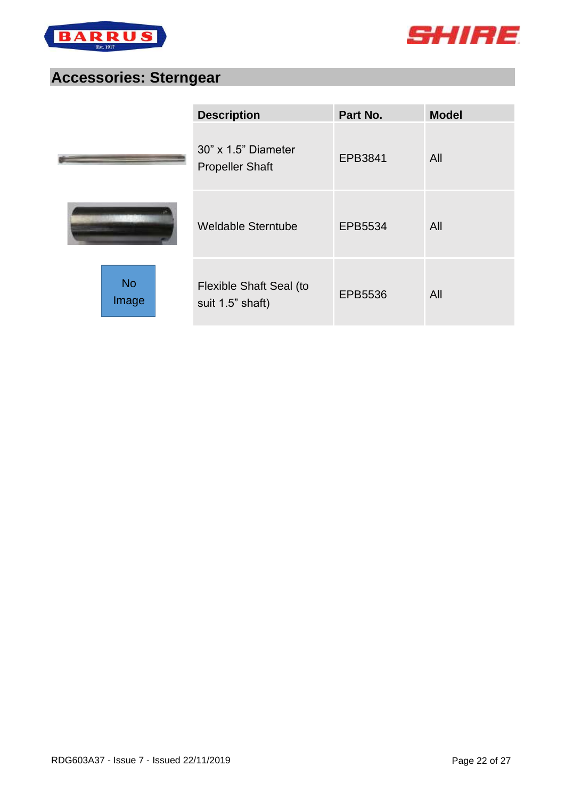



#### <span id="page-21-0"></span>**Accessories: Sterngear**

|                    | <b>Description</b>                                | Part No. | <b>Model</b> |
|--------------------|---------------------------------------------------|----------|--------------|
|                    | $30"$ x $1.5"$ Diameter<br><b>Propeller Shaft</b> | EPB3841  | All          |
|                    | <b>Weldable Sterntube</b>                         | EPB5534  | All          |
| <b>No</b><br>Image | Flexible Shaft Seal (to<br>suit 1.5" shaft)       | EPB5536  | All          |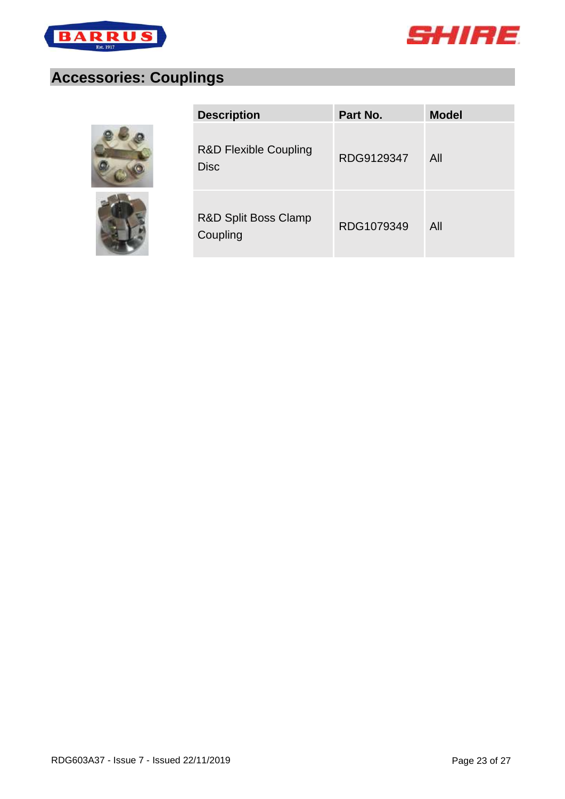



## <span id="page-22-0"></span>**Accessories: Couplings**





| <b>Description</b>                              | Part No.   | <b>Model</b> |
|-------------------------------------------------|------------|--------------|
| <b>R&amp;D Flexible Coupling</b><br><b>Disc</b> | RDG9129347 | All          |
| R&D Split Boss Clamp<br>Coupling                | RDG1079349 | All          |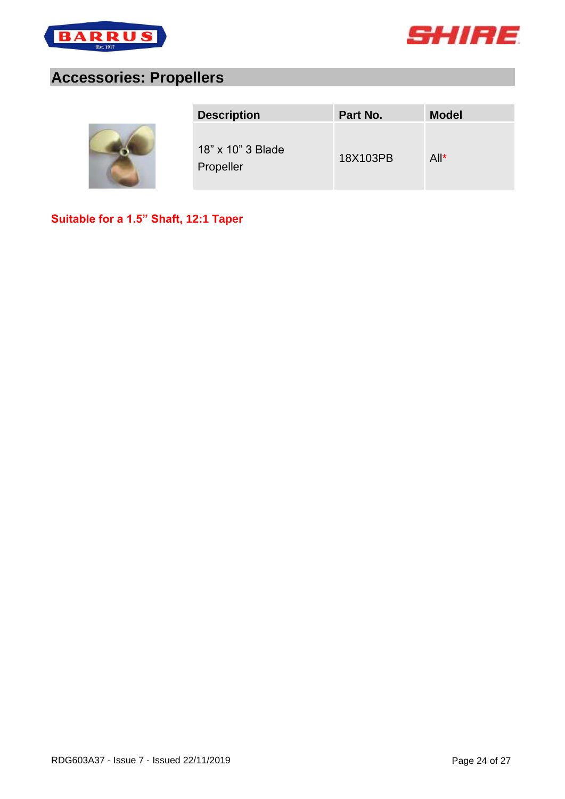



#### <span id="page-23-0"></span>**Accessories: Propellers**



| <b>Description</b>             | Part No. | <b>Model</b> |
|--------------------------------|----------|--------------|
| 18" x 10" 3 Blade<br>Propeller | 18X103PB | $All^*$      |

**Suitable for a 1.5" Shaft, 12:1 Taper**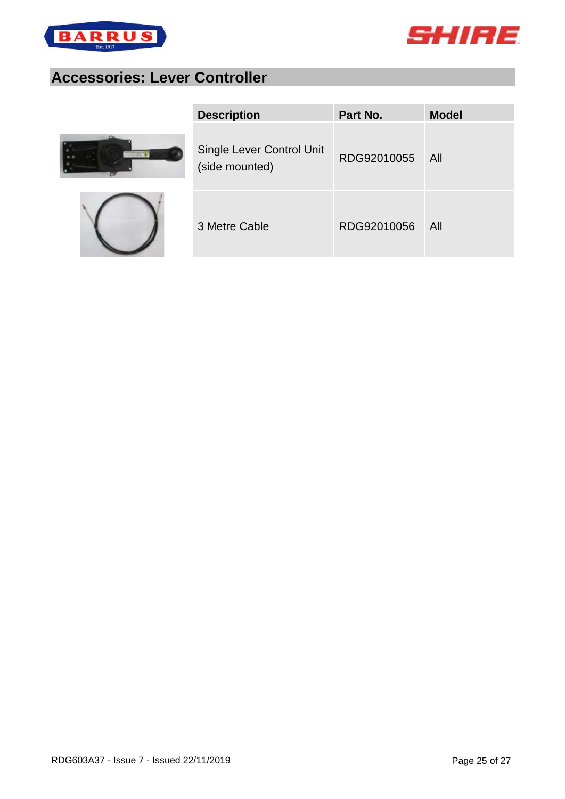



## <span id="page-24-0"></span>**Accessories: Lever Controller**





| <b>Description</b>                          | Part No.    | <b>Model</b> |
|---------------------------------------------|-------------|--------------|
| Single Lever Control Unit<br>(side mounted) | RDG92010055 | - All        |
| 3 Metre Cable                               | RDG92010056 | All          |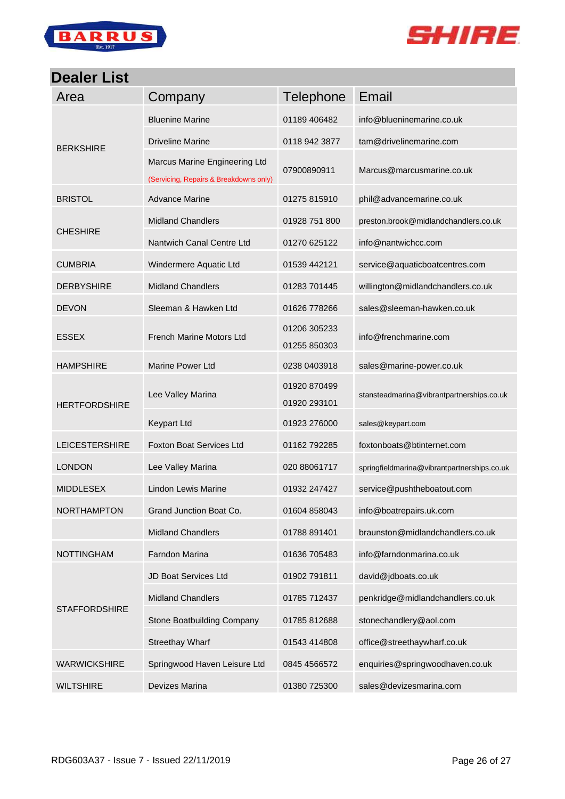



#### <span id="page-25-0"></span>**Dealer List**

| Area                  | Company                                                                 | <b>Telephone</b>             | Email                                       |
|-----------------------|-------------------------------------------------------------------------|------------------------------|---------------------------------------------|
|                       | <b>Bluenine Marine</b>                                                  | 01189 406482                 | info@blueninemarine.co.uk                   |
| <b>BERKSHIRE</b>      | <b>Driveline Marine</b>                                                 | 0118 942 3877                | tam@drivelinemarine.com                     |
|                       | Marcus Marine Engineering Ltd<br>(Servicing, Repairs & Breakdowns only) | 07900890911                  | Marcus@marcusmarine.co.uk                   |
| <b>BRISTOL</b>        | <b>Advance Marine</b>                                                   | 01275 815910                 | phil@advancemarine.co.uk                    |
|                       | <b>Midland Chandlers</b>                                                | 01928 751 800                | preston.brook@midlandchandlers.co.uk        |
| <b>CHESHIRE</b>       | Nantwich Canal Centre Ltd                                               | 01270 625122                 | info@nantwichcc.com                         |
| <b>CUMBRIA</b>        | Windermere Aquatic Ltd                                                  | 01539 442121                 | service@aquaticboatcentres.com              |
| <b>DERBYSHIRE</b>     | <b>Midland Chandlers</b>                                                | 01283 701445                 | willington@midlandchandlers.co.uk           |
| <b>DEVON</b>          | Sleeman & Hawken Ltd                                                    | 01626 778266                 | sales@sleeman-hawken.co.uk                  |
| <b>ESSEX</b>          | French Marine Motors Ltd                                                | 01206 305233<br>01255 850303 | info@frenchmarine.com                       |
| <b>HAMPSHIRE</b>      | <b>Marine Power Ltd</b>                                                 | 0238 0403918                 | sales@marine-power.co.uk                    |
| <b>HERTFORDSHIRE</b>  | Lee Valley Marina                                                       | 01920 870499<br>01920 293101 | stansteadmarina@vibrantpartnerships.co.uk   |
|                       | <b>Keypart Ltd</b>                                                      | 01923 276000                 | sales@keypart.com                           |
| <b>LEICESTERSHIRE</b> | <b>Foxton Boat Services Ltd</b>                                         | 01162 792285                 | foxtonboats@btinternet.com                  |
| <b>LONDON</b>         | Lee Valley Marina                                                       | 020 88061717                 | springfieldmarina@vibrantpartnerships.co.uk |
| <b>MIDDLESEX</b>      | <b>Lindon Lewis Marine</b>                                              | 01932 247427                 | service@pushtheboatout.com                  |
| NORTHAMPTON           | Grand Junction Boat Co.                                                 | 01604 858043                 | info@boatrepairs.uk.com                     |
|                       | <b>Midland Chandlers</b>                                                | 01788 891401                 | braunston@midlandchandlers.co.uk            |
| <b>NOTTINGHAM</b>     | Farndon Marina                                                          | 01636 705483                 | info@farndonmarina.co.uk                    |
| <b>STAFFORDSHIRE</b>  | JD Boat Services Ltd                                                    | 01902 791811                 | david@jdboats.co.uk                         |
|                       | <b>Midland Chandlers</b>                                                | 01785 712437                 | penkridge@midlandchandlers.co.uk            |
|                       | Stone Boatbuilding Company                                              | 01785 812688                 | stonechandlery@aol.com                      |
|                       | <b>Streethay Wharf</b>                                                  | 01543 414808                 | office@streethaywharf.co.uk                 |
| <b>WARWICKSHIRE</b>   | Springwood Haven Leisure Ltd                                            | 0845 4566572                 | enquiries@springwoodhaven.co.uk             |
| <b>WILTSHIRE</b>      | Devizes Marina                                                          | 01380 725300                 | sales@devizesmarina.com                     |